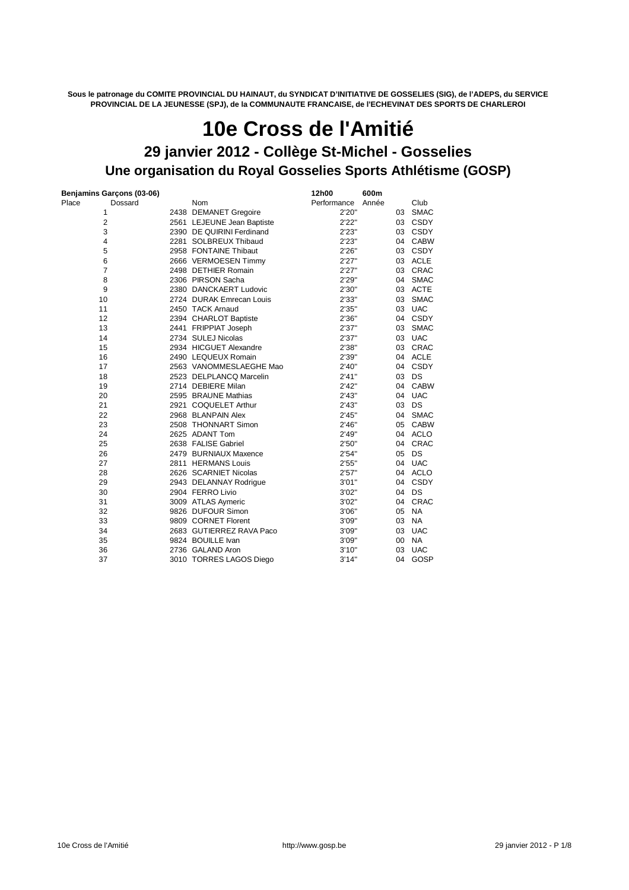**Sous le patronage du COMITE PROVINCIAL DU HAINAUT, du SYNDICAT D'INITIATIVE DE GOSSELIES (SIG), de l'ADEPS, du SERVICE PROVINCIAL DE LA JEUNESSE (SPJ), de la COMMUNAUTE FRANCAISE, de l'ECHEVINAT DES SPORTS DE CHARLEROI**

## **Une organisation du Royal Gosselies Sports Athlétisme (GOSP) 10e Cross de l'Amitié 29 janvier 2012 - Collège St-Michel - Gosselies**

|                | Benjamins Garçons (03-06) |                            | 12h00       | 600m  |        |             |
|----------------|---------------------------|----------------------------|-------------|-------|--------|-------------|
| Place          | Dossard                   | Nom                        | Performance | Année |        | Club        |
| 1              |                           | 2438 DEMANET Gregoire      | 2'20"       |       | 03     | <b>SMAC</b> |
| $\overline{2}$ |                           | 2561 LEJEUNE Jean Baptiste | 2'22"       |       | 03     | CSDY        |
| 3              |                           | 2390 DE QUIRINI Ferdinand  | 2'23"       |       |        | 03 CSDY     |
| 4              |                           | 2281 SOLBREUX Thibaud      | 2'23"       |       |        | 04 CABW     |
| 5              |                           | 2958 FONTAINE Thibaut      | 2'26''      |       |        | 03 CSDY     |
| 6              |                           | 2666 VERMOESEN Timmy       | 2'27''      |       |        | 03 ACLE     |
| 7              |                           | 2498 DETHIER Romain        | 2'27''      |       |        | 03 CRAC     |
| 8              |                           | 2306 PIRSON Sacha          | 2'29"       |       |        | 04 SMAC     |
| 9              |                           | 2380 DANCKAERT Ludovic     | 2'30"       |       | 03     | ACTE        |
| 10             |                           | 2724 DURAK Emrecan Louis   | 2'33"       |       | 03     | <b>SMAC</b> |
| 11             |                           | 2450 TACK Arnaud           | 2'35"       |       | 03     | <b>UAC</b>  |
| 12             |                           | 2394 CHARLOT Baptiste      | 2'36"       |       |        | 04 CSDY     |
| 13             |                           | 2441 FRIPPIAT Joseph       | 2'37''      |       | 03     | <b>SMAC</b> |
| 14             |                           | 2734 SULEJ Nicolas         | 2'37''      |       |        | 03 UAC      |
| 15             |                           | 2934 HICGUET Alexandre     | 2'38"       |       |        | 03 CRAC     |
| 16             |                           | 2490 LEQUEUX Romain        | 2'39"       |       |        | 04 ACLE     |
| 17             |                           | 2563 VANOMMESLAEGHE Mao    | 2'40"       |       |        | 04 CSDY     |
| 18             |                           | 2523 DELPLANCQ Marcelin    | 2'41''      |       | 03     | DS          |
| 19             |                           | 2714 DEBIERE Milan         | 2'42"       |       | 04     | <b>CABW</b> |
| 20             |                           | 2595 BRAUNE Mathias        | 2'43''      |       | 04     | <b>UAC</b>  |
| 21             |                           | 2921 COQUELET Arthur       | 2'43''      |       | 03     | DS          |
| 22             |                           | 2968 BLANPAIN Alex         | 2'45"       |       | 04     | <b>SMAC</b> |
| 23             |                           | 2508 THONNART Simon        | 2'46"       |       | 05     | CABW        |
| 24             |                           | 2625 ADANT Tom             | 2'49"       |       |        | 04 ACLO     |
| 25             |                           | 2638 FALISE Gabriel        | 2'50"       |       |        | 04 CRAC     |
| 26             |                           | 2479 BURNIAUX Maxence      | 2'54"       |       | 05     | DS          |
| 27             |                           | 2811 HERMANS Louis         | 2'55"       |       |        | 04 UAC      |
| 28             |                           | 2626 SCARNIET Nicolas      | 2'57''      |       | 04     | ACLO        |
| 29             |                           | 2943 DELANNAY Rodrique     | 3'01''      |       | 04     | CSDY        |
| 30             |                           | 2904 FERRO Livio           | 3'02"       |       | 04     | DS          |
| 31             |                           | 3009 ATLAS Aymeric         | 3'02"       |       | 04     | CRAC        |
| 32             |                           | 9826 DUFOUR Simon          | 3'06"       |       | 05     | <b>NA</b>   |
| 33             |                           | 9809 CORNET Florent        | 3'09"       |       | 03     | <b>NA</b>   |
| 34             |                           | 2683 GUTIERREZ RAVA Paco   | 3'09"       |       | 03     | <b>UAC</b>  |
| 35             |                           | 9824 BOUILLE Ivan          | 3'09"       |       | $00\,$ | <b>NA</b>   |
| 36             |                           | 2736 GALAND Aron           | 3'10''      |       | 03     | <b>UAC</b>  |
| 37             |                           | 3010 TORRES LAGOS Diego    | 3'14''      |       |        | 04 GOSP     |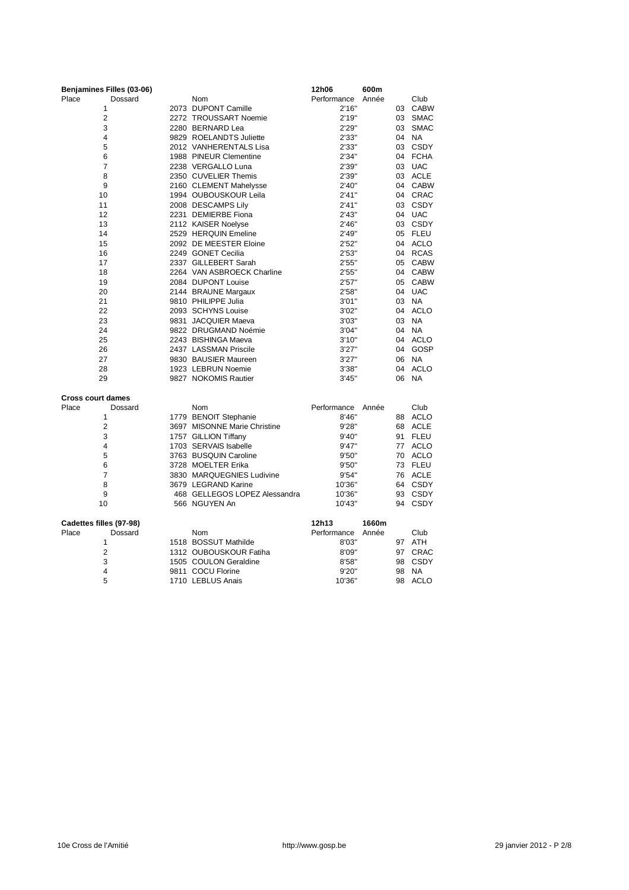| Benjamines Filles (03-06) |                               | 12h06       | 600m  |    |             |
|---------------------------|-------------------------------|-------------|-------|----|-------------|
| Place<br>Dossard          | Nom                           | Performance | Année |    | Club        |
| 1                         | 2073 DUPONT Camille           | 2'16"       |       | 03 | <b>CABW</b> |
| $\overline{2}$            | 2272 TROUSSART Noemie         | 2'19''      |       | 03 | <b>SMAC</b> |
| 3                         | 2280 BERNARD Lea              | 2'29"       |       | 03 | <b>SMAC</b> |
| 4                         | 9829 ROELANDTS Juliette       | 2'33"       |       | 04 | <b>NA</b>   |
| 5                         | 2012 VANHERENTALS Lisa        | 2'33"       |       | 03 | CSDY        |
| 6                         | 1988 PINEUR Clementine        | 2'34"       |       | 04 | <b>FCHA</b> |
| $\overline{7}$            | 2238 VERGALLO Luna            | 2'39"       |       |    | 03 UAC      |
| 8                         | 2350 CUVELIER Themis          | 2'39"       |       |    | 03 ACLE     |
| 9                         | 2160 CLEMENT Mahelysse        | 2'40"       |       | 04 | <b>CABW</b> |
| 10                        | 1994 OUBOUSKOUR Leila         | 2'41''      |       | 04 | CRAC        |
| 11                        | 2008 DESCAMPS Lily            | 2'41''      |       |    | 03 CSDY     |
| 12                        | 2231 DEMIERBE Fiona           | 2'43''      |       |    | 04 UAC      |
| 13                        | 2112 KAISER Noelyse           | 2'46"       |       |    | 03 CSDY     |
| 14                        | 2529 HERQUIN Emeline          | 2'49"       |       |    | 05 FLEU     |
| 15                        | 2092 DE MEESTER Eloine        | 2'52"       |       |    | 04 ACLO     |
| 16                        | 2249 GONET Cecilia            | 2'53''      |       | 04 | <b>RCAS</b> |
| 17                        | 2337 GILLEBERT Sarah          | 2'55"       |       | 05 | CABW        |
| 18                        | 2264 VAN ASBROECK Charline    | 2'55"       |       | 04 | <b>CABW</b> |
| 19                        | 2084 DUPONT Louise            | 2'57''      |       | 05 | <b>CABW</b> |
| 20                        | 2144 BRAUNE Margaux           | 2'58"       |       | 04 | <b>UAC</b>  |
| 21                        | 9810 PHILIPPE Julia           | 3'01"       |       | 03 | <b>NA</b>   |
| 22                        | 2093 SCHYNS Louise            | 3'02"       |       | 04 | ACLO        |
| 23                        | 9831 JACQUIER Maeva           | 3'03"       |       | 03 | NA          |
| 24                        | 9822 DRUGMAND Noémie          | 3'04"       |       | 04 | <b>NA</b>   |
| 25                        | 2243 BISHINGA Maeva           | 3'10''      |       | 04 | ACLO        |
| 26                        | 2437 LASSMAN Priscile         | 3'27''      |       | 04 | GOSP        |
| 27                        | 9830 BAUSIER Maureen          | 3'27''      |       | 06 | <b>NA</b>   |
| 28                        | 1923 LEBRUN Noemie            | 3'38"       |       | 04 | <b>ACLO</b> |
| 29                        | 9827 NOKOMIS Rautier          | 3'45''      |       | 06 | <b>NA</b>   |
|                           |                               |             |       |    |             |
| <b>Cross court dames</b>  |                               |             |       |    |             |
| Place<br>Dossard          | <b>Nom</b>                    | Performance | Année |    | Club        |
| 1                         | 1779 BENOIT Stephanie         | 8'46"       |       | 88 | ACLO        |
| $\overline{2}$            | 3697 MISONNE Marie Christine  | 9'28"       |       |    | 68 ACLE     |
| 3                         | 1757 GILLION Tiffany          | 9'40"       |       | 91 | <b>FLEU</b> |
| 4                         | 1703 SERVAIS Isabelle         | 9'47''      |       | 77 | <b>ACLO</b> |
| 5                         | 3763 BUSQUIN Caroline         | 9'50"       |       |    | 70 ACLO     |
| 6                         | 3728 MOELTER Erika            | 9'50"       |       |    | 73 FLEU     |
| $\overline{7}$            | 3830 MARQUEGNIES Ludivine     | 9'54"       |       |    | 76 ACLE     |
| 8                         | 3679 LEGRAND Karine           | 10'36"      |       |    | 64 CSDY     |
| 9                         | 468 GELLEGOS LOPEZ Alessandra | 10'36"      |       |    | 93 CSDY     |
| 10                        | 566 NGUYEN An                 | 10'43"      |       | 94 | <b>CSDY</b> |
|                           |                               |             |       |    |             |
| Cadettes filles (97-98)   |                               | 12h13       | 1660m |    |             |
| Place<br>Dossard          | <b>Nom</b>                    | Performance | Année |    | Club        |
| 1                         | 1518 BOSSUT Mathilde          | 8'03"       |       |    | 97 ATH      |
| $\overline{\mathbf{c}}$   | 1312 OUBOUSKOUR Fatiha        | 8'09"       |       | 97 | CRAC        |
| 3                         | 1505 COULON Geraldine         | 8'58"       |       | 98 | <b>CSDY</b> |
| $\overline{4}$            | 9811 COCU Florine             | 9'20"       |       | 98 | <b>NA</b>   |
| 5                         | 1710 LEBLUS Anais             | 10'36"      |       | 98 | <b>ACLO</b> |
|                           |                               |             |       |    |             |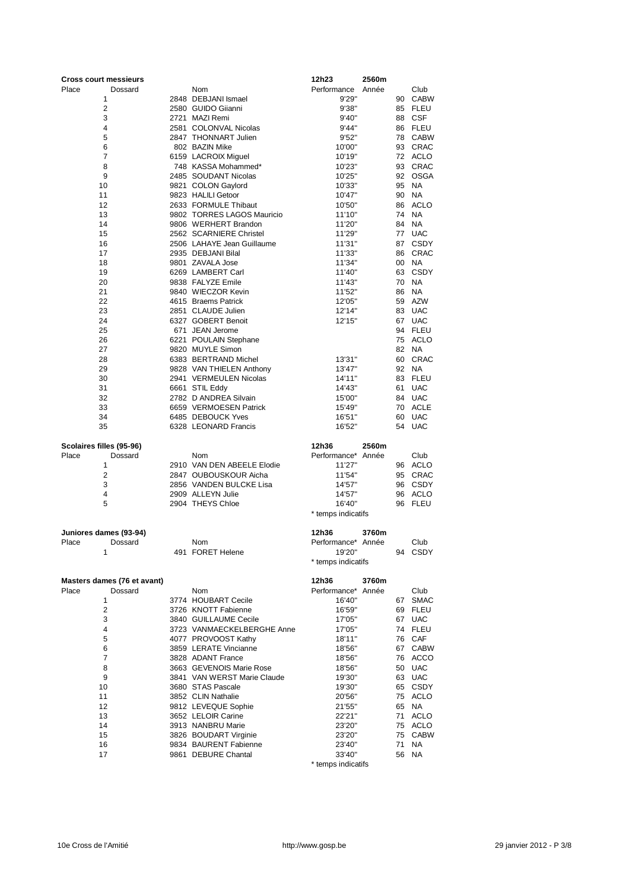| <b>Cross court messieurs</b> |                                          | 12h23                        | 2560m |    |             |
|------------------------------|------------------------------------------|------------------------------|-------|----|-------------|
| Place<br>Dossard             | Nom                                      | Performance                  | Année |    | Club        |
| 1                            | 2848 DEBJANI Ismael                      | 9'29"                        |       | 90 | <b>CABW</b> |
| $\overline{2}$               | 2580 GUIDO Giianni                       | 9'38"                        |       | 85 | FLEU        |
| 3                            | 2721 MAZI Remi                           | 9'40"                        |       | 88 | <b>CSF</b>  |
| 4                            | 2581 COLONVAL Nicolas                    | 9'44"                        |       |    | 86 FLEU     |
| 5                            | 2847 THONNART Julien                     | 9'52"                        |       | 78 | <b>CABW</b> |
| 6                            | 802 BAZIN Mike                           | 10'00"                       |       | 93 | CRAC        |
| $\overline{7}$               | 6159 LACROIX Miguel                      | 10'19"                       |       |    | 72 ACLO     |
| 8                            | 748 KASSA Mohammed*                      | 10'23"                       |       | 93 | CRAC        |
| 9                            | 2485 SOUDANT Nicolas                     | 10'25"                       |       | 92 | OSGA        |
| 10                           | 9821 COLON Gaylord                       | 10'33"                       |       | 95 | <b>NA</b>   |
| 11                           | 9823 HALILI Getoor                       | 10'47"                       |       | 90 | <b>NA</b>   |
| 12                           | 2633 FORMULE Thibaut                     | 10'50"                       |       | 86 | <b>ACLO</b> |
| 13                           | 9802 TORRES LAGOS Mauricio               | 11'10"                       |       | 74 | <b>NA</b>   |
| 14                           | 9806 WERHERT Brandon                     | 11'20"                       |       | 84 | <b>NA</b>   |
| 15                           | 2562 SCARNIERE Christel                  | 11'29"                       |       | 77 | <b>UAC</b>  |
| 16                           | 2506 LAHAYE Jean Guillaume               | 11'31"                       |       | 87 | <b>CSDY</b> |
| 17                           | 2935 DEBJANI Bilal                       | 11'33"                       |       | 86 | CRAC        |
| 18                           | 9801 ZAVALA Jose                         | 11'34"                       |       | 00 | NA          |
| 19                           | 6269 LAMBERT Carl                        | 11'40"                       |       | 63 | <b>CSDY</b> |
| 20                           | 9838 FALYZE Emile                        | 11'43"                       |       | 70 | <b>NA</b>   |
| 21                           | 9840 WIECZOR Kevin                       | 11'52"                       |       | 86 | <b>NA</b>   |
|                              |                                          |                              |       |    | <b>AZW</b>  |
| 22                           | 4615 Braems Patrick                      | 12'05"                       |       | 59 |             |
| 23                           | 2851 CLAUDE Julien<br>6327 GOBERT Benoit | 12'14"                       |       | 83 | <b>UAC</b>  |
| 24                           |                                          | 12'15"                       |       | 67 | <b>UAC</b>  |
| 25                           | 671 JEAN Jerome                          |                              |       | 94 | FLEU        |
| 26                           | 6221 POULAIN Stephane                    |                              |       | 75 | ACLO        |
| 27                           | 9820 MUYLE Simon                         |                              |       | 82 | <b>NA</b>   |
| 28                           | 6383 BERTRAND Michel                     | 13'31"                       |       | 60 | CRAC        |
| 29                           | 9828 VAN THIELEN Anthony                 | 13'47"                       |       | 92 | <b>NA</b>   |
| 30                           | 2941 VERMEULEN Nicolas                   | 14'11"                       |       | 83 | <b>FLEU</b> |
| 31                           | 6661 STIL Eddy                           | 14'43"                       |       | 61 | <b>UAC</b>  |
| 32                           | 2782 D ANDREA Silvain                    | 15'00"                       |       | 84 | <b>UAC</b>  |
| 33                           | 6659 VERMOESEN Patrick                   | 15'49"                       |       | 70 | ACLE        |
| 34                           | 6485 DEBOUCK Yves                        | 16'51"                       |       | 60 | <b>UAC</b>  |
| 35                           | 6328 LEONARD Francis                     | 16'52"                       |       | 54 | <b>UAC</b>  |
|                              |                                          |                              |       |    |             |
| Scolaires filles (95-96)     |                                          | 12h36                        | 2560m |    |             |
| Place<br>Dossard             | Nom                                      | Performance*                 | Année |    | Club        |
| 1                            | 2910 VAN DEN ABEELE Elodie               | 11'27"                       |       | 96 | ACLO        |
| $\overline{2}$               | 2847 OUBOUSKOUR Aicha                    | 11'54"                       |       | 95 | CRAC        |
| 3                            | 2856 VANDEN BULCKE Lisa                  | 14'57"                       |       | 96 | <b>CSDY</b> |
| 4                            | 2909 ALLEYN Julie                        | 14'57"                       |       | 96 | ACLO        |
| 5                            | 2904 THEYS Chloe                         | 16'40"                       |       |    | 96 FLEU     |
|                              |                                          | * temps indicatifs           |       |    |             |
| Juniores dames (93-94)       |                                          | 12h36                        | 3760m |    |             |
| Place<br>Dossard             | Nom                                      | Performance* Année           |       |    | Club        |
|                              | 491 FORET Helene                         |                              |       |    |             |
| 1                            |                                          | 19'20'<br>* temps indicatifs |       |    | 94 CSDY     |
|                              |                                          |                              |       |    |             |
| Masters dames (76 et avant)  |                                          | 12h36                        | 3760m |    |             |
| Place<br>Dossard             | <b>Nom</b>                               | Performance* Année           |       |    | Club        |
| 1                            | 3774 HOUBART Cecile                      | 16'40"                       |       | 67 | <b>SMAC</b> |
| 2                            | 3726 KNOTT Fabienne                      | 16'59"                       |       | 69 | <b>FLEU</b> |
| 3                            | 3840 GUILLAUME Cecile                    | 17'05"                       |       | 67 | <b>UAC</b>  |
| 4                            | 3723 VANMAECKELBERGHE Anne               | 17'05"                       |       |    | 74 FLEU     |
| 5                            | 4077 PROVOOST Kathy                      | 18'11"                       |       | 76 | CAF         |
| 6                            | 3859 LERATE Vincianne                    | 18'56"                       |       | 67 | <b>CABW</b> |
| 7                            | 3828 ADANT France                        | 18'56"                       |       | 76 | <b>ACCO</b> |
| 8                            | 3663 GEVENOIS Marie Rose                 | 18'56"                       |       | 50 | <b>UAC</b>  |
| 9                            | 3841 VAN WERST Marie Claude              | 19'30"                       |       | 63 | <b>UAC</b>  |
| 10                           | 3680 STAS Pascale                        | 19'30"                       |       | 65 | <b>CSDY</b> |
| 11                           | 3852 CLIN Nathalie                       | 20'56"                       |       | 75 | <b>ACLO</b> |
| 12                           | 9812 LEVEQUE Sophie                      | 21'55"                       |       | 65 | <b>NA</b>   |
| 13                           | 3652 LELOIR Carine                       | 22'21"                       |       | 71 | ACLO        |
| 14                           | 3913 NANBRU Marie                        | 23'20"                       |       | 75 | ACLO        |
| 15                           | 3826 BOUDART Virginie                    | 23'20"                       |       | 75 | <b>CABW</b> |
| 16                           | 9834 BAURENT Fabienne                    | 23'40"                       |       | 71 | <b>NA</b>   |
| 17                           | 9861 DEBURE Chantal                      | 33'40"                       |       | 56 | <b>NA</b>   |
|                              |                                          | * temps indicatifs           |       |    |             |
|                              |                                          |                              |       |    |             |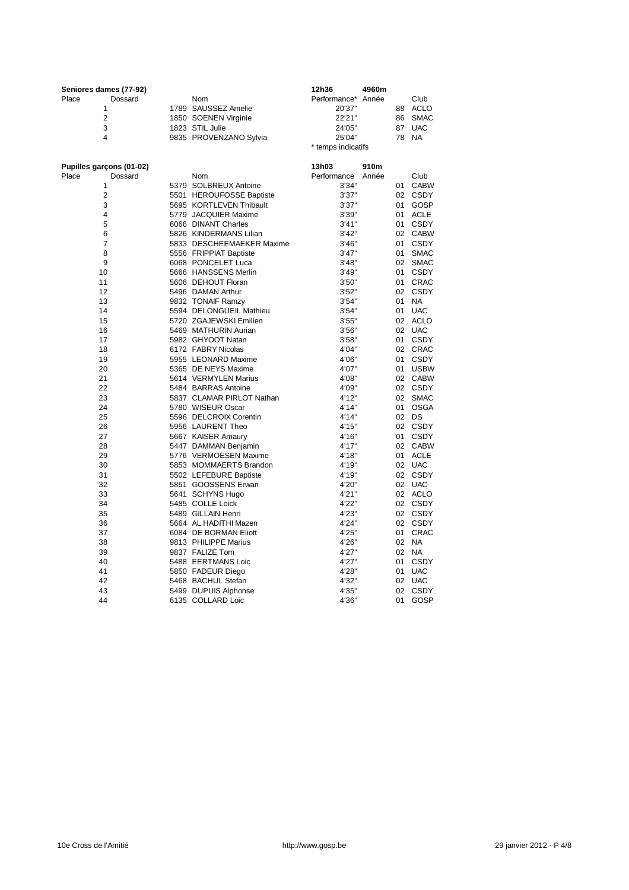|       | Seniores dames (77-92) |                        | 12h36              | 4960m |    |            |
|-------|------------------------|------------------------|--------------------|-------|----|------------|
| Place | Dossard                | Nom                    | Performance* Année |       |    | Club       |
|       |                        | 1789 SAUSSEZ Amelie    | 20'37"             |       | 88 | ACLO       |
|       | 2                      | 1850 SOENEN Virginie   | 22'21"             |       |    | 86 SMAC    |
|       | 3                      | 1823 STIL Julie        | 24'05"             |       | 87 | <b>UAC</b> |
|       | 4                      | 9835 PROVENZANO Sylvia | 25'04"             |       |    | 78 NA      |
|       |                        |                        | * temps indicatifs |       |    |            |
|       |                        |                        |                    |       |    |            |

| Pupilles garçons (01-02) |                           | 13h03       | 910m  |                 |             |
|--------------------------|---------------------------|-------------|-------|-----------------|-------------|
| Place<br>Dossard         | Nom                       | Performance | Année |                 | Club        |
| 1                        | 5379 SOLBREUX Antoine     | 3'34"       |       | 01              | <b>CABW</b> |
| $\overline{2}$           | 5501 HEROUFOSSE Baptiste  | 3'37''      |       | 02              | CSDY        |
| 3                        | 5695 KORTLEVEN Thibault   | 3'37''      |       | 01              | GOSP        |
| 4                        | 5779 JACQUIER Maxime      | 3'39"       |       | 01              | <b>ACLE</b> |
| 5                        | 6066 DINANT Charles       | 3'41''      |       | 01              | CSDY        |
| 6                        | 5826 KINDERMANS Lilian    | 3'42''      |       |                 | 02 CABW     |
| $\overline{7}$           | 5833 DESCHEEMAEKER Maxime | 3'46''      |       | 01              | CSDY        |
| 8                        | 5556 FRIPPIAT Baptiste    | 3'47''      |       | 01              | <b>SMAC</b> |
| 9                        | 6068 PONCELET Luca        | 3'48"       |       | 02              | <b>SMAC</b> |
| 10                       | 5666 HANSSENS Merlin      | 3'49"       |       | 01              | <b>CSDY</b> |
| 11                       | 5606 DEHOUT Floran        | 3'50"       |       | 01              | CRAC        |
| 12                       | 5496 DAMAN Arthur         | 3'52''      |       | 02              | CSDY        |
| 13                       | 9832 TONAIF Ramzy         | 3'54''      |       | 01              | <b>NA</b>   |
| 14                       | 5594 DELONGUEIL Mathieu   | 3'54''      |       | 01              | <b>UAC</b>  |
| 15                       | 5720 ZGAJEWSKI Emilien    | 3'55"       |       | 02              | <b>ACLO</b> |
| 16                       | 5469 MATHURIN Aurian      | 3'56"       |       | 02              | <b>UAC</b>  |
| 17                       | 5982 GHYOOT Natan         | 3'58''      |       | 01              | CSDY        |
| 18                       | 6172 FABRY Nicolas        | 4'04"       |       | 02              | <b>CRAC</b> |
| 19                       | 5955 LEONARD Maxime       | 4'06"       |       | 01              | CSDY        |
| 20                       | 5365 DE NEYS Maxime       | 4'07"       |       | 01              | <b>USBW</b> |
| 21                       | 5614 VERMYLEN Marius      | 4'08"       |       | 02              | <b>CABW</b> |
| 22                       | 5484 BARRAS Antoine       | 4'09"       |       |                 | 02 CSDY     |
| 23                       | 5837 CLAMAR PIRLOT Nathan | 4'12"       |       | 02              | <b>SMAC</b> |
| 24                       | 5780 WISEUR Oscar         | 4'14"       |       | 01              | <b>OSGA</b> |
| 25                       | 5596 DELCROIX Corentin    | 4'14"       |       | 02              | DS          |
| 26                       | 5956 LAURENT Theo         | 4'15"       |       | 02 <sup>2</sup> | CSDY        |
| 27                       | 5667 KAISER Amaury        | 4'16"       |       | 01              | <b>CSDY</b> |
| 28                       | 5447 DAMMAN Benjamin      | 4'17"       |       |                 | 02 CABW     |
| 29                       | 5776 VERMOESEN Maxime     | 4'18"       |       | 01              | <b>ACLE</b> |
| 30                       | 5853 MOMMAERTS Brandon    | 4'19"       |       | 02              | <b>UAC</b>  |
| 31                       | 5502 LEFEBURE Baptiste    | 4'19"       |       | 02              | CSDY        |
| 32                       | 5851 GOOSSENS Erwan       | 4'20"       |       |                 | 02 UAC      |
| 33                       | 5641 SCHYNS Hugo          | 4'21"       |       | 02              | ACLO        |
| 34                       | 5485 COLLE Loick          | 4'22"       |       |                 | 02 CSDY     |
| 35                       | 5489 GILLAIN Henri        | 4'23"       |       |                 | 02 CSDY     |
| 36                       | 5664 AL HADITHI Mazen     | 4'24"       |       |                 | 02 CSDY     |
| 37                       | 6084 DE BORMAN Eliott     | 4'25"       |       | 01              | CRAC        |
| 38                       | 9813 PHILIPPE Marius      | 4'26"       |       | 02 <sup>2</sup> | <b>NA</b>   |
| 39                       | 9837 FALIZE Tom           | 4'27"       |       | 02              | <b>NA</b>   |
| 40                       | 5488 EERTMANS Loic        | 4'27"       |       | 01              | <b>CSDY</b> |
| 41                       | 5850 FADEUR Diego         | 4'28"       |       | 01              | <b>UAC</b>  |
| 42                       | 5468 BACHUL Stefan        | 4'32"       |       | 02              | <b>UAC</b>  |
| 43                       | 5499 DUPUIS Alphonse      | 4'35"       |       | 02              | CSDY        |
| 44                       | 6135 COLLARD Loic         | 4'36"       |       | 01              | GOSP        |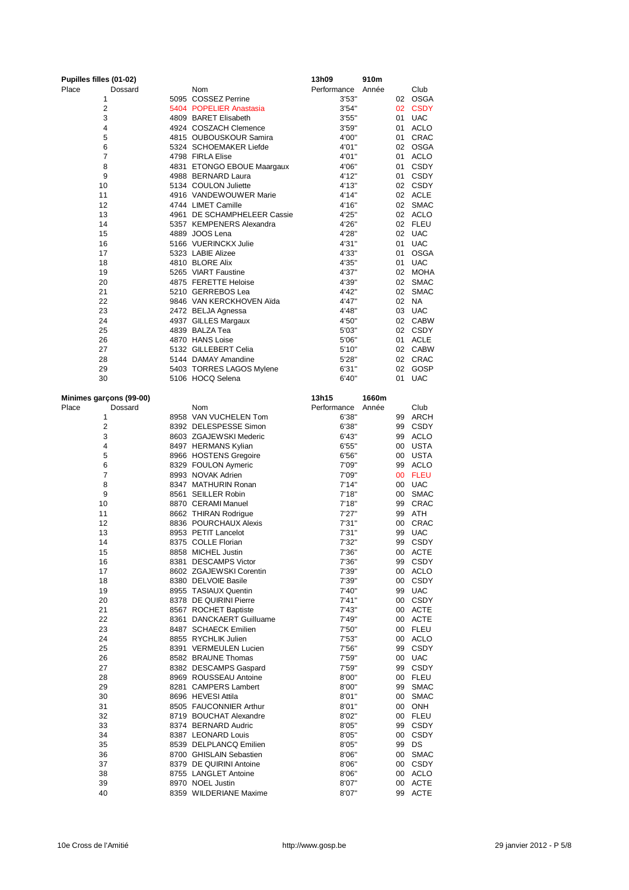| Pupilles filles (01-02) |                                              | 13h09          | 910m  |          |                           |
|-------------------------|----------------------------------------------|----------------|-------|----------|---------------------------|
| Place<br>Dossard        | Nom                                          | Performance    | Année |          | Club                      |
| 1                       | 5095 COSSEZ Perrine                          | 3'53"          |       | 02       | <b>OSGA</b>               |
| $\overline{2}$          | 5404 POPELIER Anastasia                      | 3'54"          |       |          | 02 CSDY                   |
| 3                       | 4809 BARET Elisabeth                         | 3'55"          |       |          | 01 UAC                    |
| 4                       | 4924 COSZACH Clemence                        | 3'59''         |       | 01       | <b>ACLO</b>               |
| 5                       | 4815 OUBOUSKOUR Samira                       | 4'00"          |       | 01       | CRAC                      |
| 6                       | 5324 SCHOEMAKER Liefde                       | 4'01"          |       |          | 02 OSGA                   |
| 7                       | 4798 FIRLA Elise                             | 4'01"          |       | 01       | <b>ACLO</b>               |
| 8                       | 4831 ETONGO EBOUE Maargaux                   | 4'06"          |       | 01       | <b>CSDY</b>               |
| 9                       | 4988 BERNARD Laura                           | 4'12"          |       | 01       | CSDY                      |
| 10                      | 5134 COULON Juliette                         | 4'13"          |       |          | 02 CSDY                   |
| 11                      | 4916 VANDEWOUWER Marie                       | 4'14"          |       |          | 02 ACLE                   |
| 12                      | 4744 LIMET Camille                           | 4'16"          |       | 02       | SMAC                      |
| 13                      | 4961 DE SCHAMPHELEER Cassie                  | 4'25"          |       |          | 02 ACLO                   |
| 14                      | 5357 KEMPENERS Alexandra<br>4889 JOOS Lena   | 4'26"          |       | 02       | <b>FLEU</b><br>02 UAC     |
| 15                      |                                              | 4'28"          |       |          |                           |
| 16<br>17                | 5166 VUERINCKX Julie<br>5323 LABIE Alizee    | 4'31"<br>4'33" |       | 01<br>01 | <b>UAC</b><br><b>OSGA</b> |
| 18                      | 4810 BLORE Alix                              | 4'35"          |       | 01       | <b>UAC</b>                |
| 19                      | 5265 VIART Faustine                          | 4'37"          |       | 02       | MOHA                      |
| 20                      | 4875 FERETTE Heloise                         | 4'39"          |       | 02       | <b>SMAC</b>               |
| 21                      | 5210 GERREBOS Lea                            | 4'42"          |       | 02       | <b>SMAC</b>               |
| 22                      | 9846 VAN KERCKHOVEN Aïda                     | 4'47"          |       |          | 02 NA                     |
| 23                      | 2472 BELJA Agnessa                           | 4'48"          |       | 03       | <b>UAC</b>                |
| 24                      | 4937 GILLES Margaux                          | 4'50"          |       |          | 02 CABW                   |
| 25                      | 4839 BALZA Tea                               | 5'03"          |       |          | 02 CSDY                   |
| 26                      | 4870 HANS Loise                              | 5'06"          |       | 01       | ACLE                      |
| 27                      | 5132 GILLEBERT Celia                         | 5'10''         |       |          | 02 CABW                   |
| 28                      | 5144 DAMAY Amandine                          | 5'28"          |       |          | 02 CRAC                   |
| 29                      | 5403 TORRES LAGOS Mylene                     | 6'31''         |       | 02       | GOSP                      |
| 30                      | 5106 HOCQ Selena                             | 6'40"          |       | 01       | <b>UAC</b>                |
|                         |                                              |                |       |          |                           |
| Minimes garçons (99-00) |                                              | 13h15          | 1660m |          |                           |
| Place<br>Dossard        | <b>Nom</b>                                   | Performance    | Année |          | Club                      |
| 1                       | 8958 VAN VUCHELEN Tom                        | 6'38''         |       | 99       | ARCH                      |
| $\overline{2}$          | 8392 DELESPESSE Simon                        | 6'38"          |       | 99       | <b>CSDY</b>               |
| 3                       | 8603 ZGAJEWSKI Mederic                       | 6'43"          |       | 99       | <b>ACLO</b>               |
| 4                       | 8497 HERMANS Kylian                          | 6'55"          |       | 00       | <b>USTA</b>               |
| 5                       | 8966 HOSTENS Gregoire                        | 6'56"          |       | 00       | USTA                      |
| 6                       | 8329 FOULON Aymeric                          | 7'09"          |       | 99       | <b>ACLO</b>               |
| 7                       | 8993 NOVAK Adrien                            | 7'09"          |       | 00       | <b>FLEU</b>               |
| 8                       | 8347 MATHURIN Ronan                          | 7'14"          |       | 00       | <b>UAC</b>                |
| 9                       | 8561 SEILLER Robin                           | 7'18"          |       | 00       | <b>SMAC</b>               |
| 10                      | 8870 CERAMI Manuel                           | 7'18"          |       | 99       | <b>CRAC</b>               |
| 11                      | 8662 THIRAN Rodrigue                         | 7'27''         |       | 99       | <b>ATH</b>                |
| 12                      | 8836 POURCHAUX Alexis                        | 7'31''         |       | 00       | <b>CRAC</b>               |
| 13                      | 8953 PETIT Lancelot                          | 7'31''         |       | 99       | <b>UAC</b>                |
| 14                      | 8375 COLLE Florian                           | 7'32"          |       | 99       | <b>CSDY</b>               |
| 15                      | 8858 MICHEL Justin                           | 7'36''         |       |          | 00 ACTE                   |
| 16                      | 8381 DESCAMPS Victor                         | 7'36"          |       |          | 99 CSDY                   |
| 17                      | 8602 ZGAJEWSKI Corentin                      | 7'39"          |       | 00       | ACLO                      |
| 18                      | 8380 DELVOIE Basile                          | 7'39"          |       | 00       | CSDY                      |
| 19                      | 8955 TASIAUX Quentin                         | 7'40"          |       | 99       | <b>UAC</b>                |
| 20                      | 8378 DE QUIRINI Pierre                       | 7'41''         |       | 00       | <b>CSDY</b>               |
| 21                      | 8567 ROCHET Baptiste                         | 7'43"          |       | 00       | <b>ACTE</b>               |
| 22                      | 8361 DANCKAERT Guilluame                     | 7'49"          |       | 00       | ACTE                      |
| 23                      | 8487 SCHAECK Emilien                         | 7'50"          |       | 00       | <b>FLEU</b>               |
| 24<br>25                | 8855 RYCHLIK Julien<br>8391 VERMEULEN Lucien | 7'53"          |       | 00<br>99 | ACLO                      |
|                         | 8582 BRAUNE Thomas                           | 7'56"          |       |          | <b>CSDY</b><br><b>UAC</b> |
| 26<br>27                | 8382 DESCAMPS Gaspard                        | 7'59"<br>7'59" |       | 00<br>99 | <b>CSDY</b>               |
| 28                      | 8969 ROUSSEAU Antoine                        | 8'00"          |       | 00       | <b>FLEU</b>               |
| 29                      | 8281 CAMPERS Lambert                         | 8'00"          |       | 99       | <b>SMAC</b>               |
| 30                      | 8696 HEVESI Attila                           | 8'01"          |       | 00       | <b>SMAC</b>               |
| 31                      | 8505 FAUCONNIER Arthur                       | 8'01"          |       | 00       | ONH                       |
| 32                      | 8719 BOUCHAT Alexandre                       | 8'02"          |       | 00       | <b>FLEU</b>               |
| 33                      | 8374 BERNARD Audric                          | 8'05"          |       | 99       | <b>CSDY</b>               |
| 34                      | 8387 LEONARD Louis                           | 8'05"          |       | 00       | <b>CSDY</b>               |
| 35                      | 8539 DELPLANCQ Emilien                       | 8'05"          |       | 99       | DS                        |
| 36                      | 8700 GHISLAIN Sebastien                      | 8'06"          |       | 00       | <b>SMAC</b>               |
| 37                      | 8379 DE QUIRINI Antoine                      | 8'06"          |       | 00       | <b>CSDY</b>               |
| 38                      | 8755 LANGLET Antoine                         | 8'06"          |       | 00       | <b>ACLO</b>               |
| 39                      | 8970 NOEL Justin                             | 8'07"          |       | 00       | <b>ACTE</b>               |
| 40                      | 8359 WILDERIANE Maxime                       | 8'07"          |       | 99       | <b>ACTE</b>               |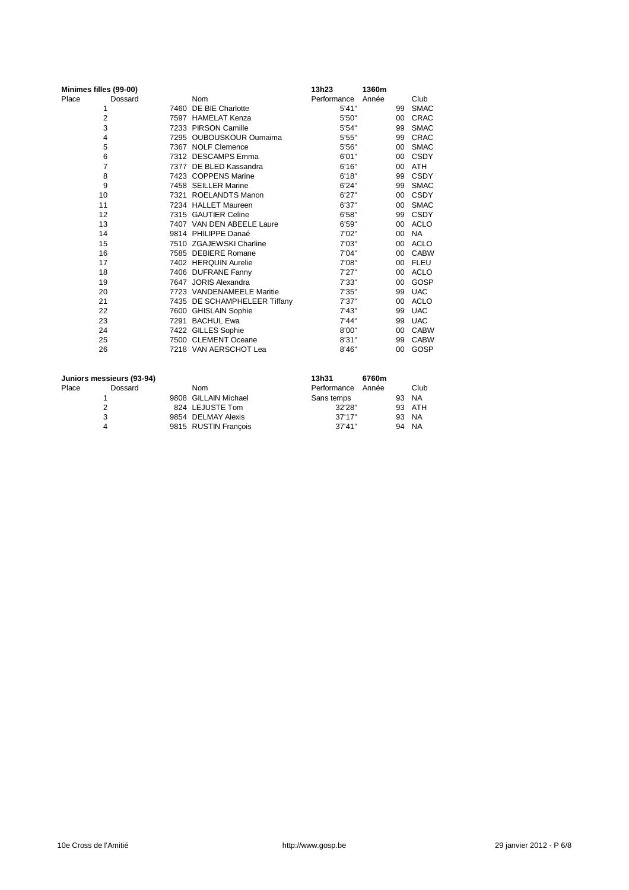|       | Minimes filles (99-00) |                              | 13h23       | 1360m |         |             |
|-------|------------------------|------------------------------|-------------|-------|---------|-------------|
| Place | Dossard                | <b>Nom</b>                   | Performance | Année |         | Club        |
|       | 1                      | 7460 DE BIE Charlotte        | 5'41''      |       | 99      | <b>SMAC</b> |
|       | $\overline{c}$         | 7597 HAMELAT Kenza           | 5'50"       |       | 00      | <b>CRAC</b> |
|       | 3                      | 7233 PIRSON Camille          | 5'54"       |       | 99      | <b>SMAC</b> |
|       | 4                      | 7295 OUBOUSKOUR Oumaima      | 5'55"       |       | 99      | CRAC        |
|       | 5                      | 7367 NOLF Clemence           | 5'56"       |       | 00      | <b>SMAC</b> |
|       | 6                      | 7312 DESCAMPS Emma           | 6'01"       |       | 00      | CSDY        |
|       | $\overline{7}$         | 7377 DE BLED Kassandra       | 6'16''      |       | 00      | ATH         |
|       | 8                      | 7423 COPPENS Marine          | 6'18"       |       | 99      | <b>CSDY</b> |
|       | 9                      | 7458 SEILLER Marine          | 6'24"       |       | 99      | <b>SMAC</b> |
|       | 10                     | 7321 ROELANDTS Manon         | 6'27''      |       | 00      | CSDY        |
|       | 11                     | 7234 HALLET Maureen          | 6'37''      |       | 00      | <b>SMAC</b> |
|       | 12                     | 7315 GAUTIER Celine          | 6'58"       |       | 99      | CSDY        |
|       | 13                     | 7407 VAN DEN ABEELE Laure    | 6'59"       |       | 00      | ACLO        |
|       | 14                     | 9814 PHILIPPE Danaé          | 7'02"       |       | 00      | <b>NA</b>   |
|       | 15                     | 7510 ZGAJEWSKI Charline      | 7'03"       |       | 00      | <b>ACLO</b> |
|       | 16                     | 7585 DEBIERE Romane          | 7'04"       |       | 00      | <b>CABW</b> |
|       | 17                     | 7402 HERQUIN Aurelie         | 7'08"       |       | 00      | <b>FLEU</b> |
|       | 18                     | 7406 DUFRANE Fanny           | 7'27''      |       | 00      | <b>ACLO</b> |
|       | 19                     | 7647 JORIS Alexandra         | 7'33"       |       | 00      | GOSP        |
|       | 20                     | 7723 VANDENAMEELE Maritie    | 7'35''      |       | 99      | <b>UAC</b>  |
|       | 21                     | 7435 DE SCHAMPHELEER Tiffany | 7'37''      |       | 00      | <b>ACLO</b> |
|       | 22                     | 7600 GHISLAIN Sophie         | 7'43''      |       | 99      | <b>UAC</b>  |
|       | 23                     | 7291 BACHUL Ewa              | 7'44"       |       | 99      | <b>UAC</b>  |
|       | 24                     | 7422 GILLES Sophie           | 8'00"       |       | $00 \,$ | <b>CABW</b> |
|       | 25                     | 7500 CLEMENT Oceane          | 8'31"       |       | 99      | <b>CABW</b> |
|       | 26                     | 7218 VAN AERSCHOT Lea        | 8'46"       |       | 00      | GOSP        |
|       |                        |                              |             |       |         |             |

|       | Juniors messieurs (93-94) |                      | 13h31       | 6760m |    |           |
|-------|---------------------------|----------------------|-------------|-------|----|-----------|
| Place | Dossard                   | Nom                  | Performance | Année |    | Club      |
|       |                           | 9808 GILLAIN Michael | Sans temps  |       | 93 | <b>NA</b> |
|       |                           | 824 LEJUSTE Tom      | 32'28"      |       |    | 93 ATH    |
|       | 3                         | 9854 DELMAY Alexis   | 37'17''     |       |    | 93 NA     |
| 4     |                           | 9815 RUSTIN Francois | 37'41''     |       |    | 94 NA     |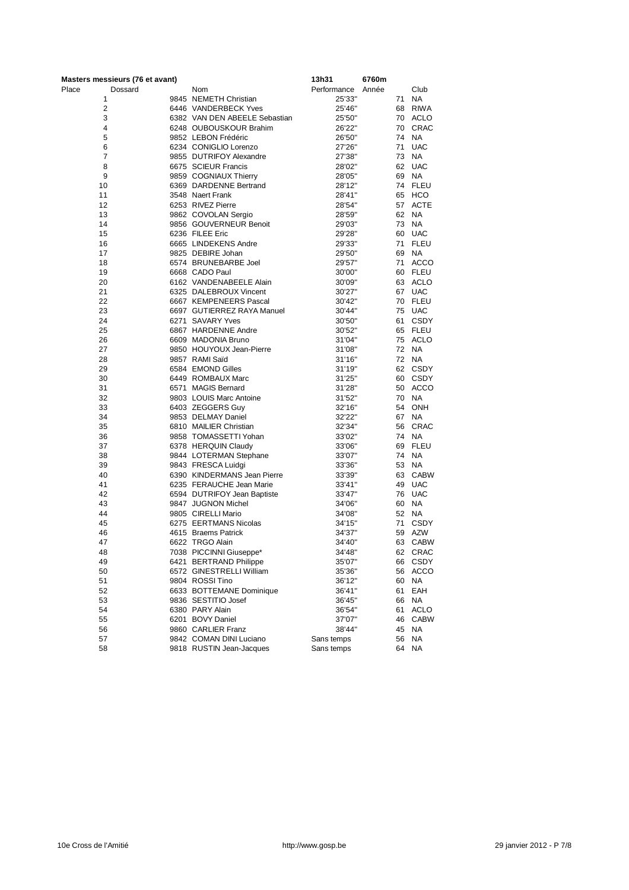| Masters messieurs (76 et avant) |                               | 13h31       | 6760m |             |
|---------------------------------|-------------------------------|-------------|-------|-------------|
| Place<br>Dossard                | Nom                           | Performance | Année | Club        |
| 1                               | 9845 NEMETH Christian         | 25'33"      | 71    | <b>NA</b>   |
| 2                               | 6446 VANDERBECK Yves          | 25'46"      | 68    | <b>RIWA</b> |
| 3                               | 6382 VAN DEN ABEELE Sebastian | 25'50"      | 70    | ACLO        |
| 4                               | 6248 OUBOUSKOUR Brahim        | 26'22"      | 70    | <b>CRAC</b> |
| 5                               | 9852 LEBON Frédéric           | 26'50"      | 74    | <b>NA</b>   |
| 6                               | 6234 CONIGLIO Lorenzo         | 27'26"      | 71    | <b>UAC</b>  |
| 7                               | 9855 DUTRIFOY Alexandre       | 27'38"      | 73    | <b>NA</b>   |
| 8                               | 6675 SCIEUR Francis           | 28'02"      | 62    | <b>UAC</b>  |
| 9                               | 9859 COGNIAUX Thierry         | 28'05"      | 69    | <b>NA</b>   |
| 10                              | 6369 DARDENNE Bertrand        | 28'12"      | 74    | <b>FLEU</b> |
| 11                              | 3548 Naert Frank              | 28'41"      | 65    | HCO         |
| 12                              | 6253 RIVEZ Pierre             | 28'54"      | 57    | <b>ACTE</b> |
| 13                              | 9862 COVOLAN Sergio           | 28'59"      | 62    | <b>NA</b>   |
| 14                              | 9856 GOUVERNEUR Benoit        | 29'03"      | 73    | <b>NA</b>   |
| 15                              | 6236 FILEE Eric               | 29'28"      | 60    | <b>UAC</b>  |
| 16                              | 6665 LINDEKENS Andre          | 29'33"      | 71    | <b>FLEU</b> |
| 17                              | 9825 DEBIRE Johan             | 29'50"      | 69    | <b>NA</b>   |
| 18                              | 6574 BRUNEBARBE Joel          | 29'57"      | 71    | <b>ACCO</b> |
| 19                              | 6668 CADO Paul                | 30'00"      | 60    | FLEU        |
| 20                              | 6162 VANDENABEELE Alain       | 30'09"      | 63    | ACLO        |
| 21                              | 6325 DALEBROUX Vincent        | 30'27"      |       | 67 UAC      |
| 22                              | 6667 KEMPENEERS Pascal        | 30'42"      | 70    | <b>FLEU</b> |
| 23                              | 6697 GUTIERREZ RAYA Manuel    | 30'44"      | 75    | <b>UAC</b>  |
| 24                              | 6271 SAVARY Yves              | 30'50"      | 61    | <b>CSDY</b> |
| 25                              | 6867 HARDENNE Andre           | 30'52"      | 65    | <b>FLEU</b> |
| 26                              | 6609 MADONIA Bruno            | 31'04"      | 75    | <b>ACLO</b> |
| 27                              | 9850 HOUYOUX Jean-Pierre      | 31'08"      | 72    | <b>NA</b>   |
| 28                              | 9857 RAMI Saïd                | 31'16"      | 72    | <b>NA</b>   |
| 29                              | 6584 EMOND Gilles             | 31'19"      |       | 62 CSDY     |
| 30                              | 6449 ROMBAUX Marc             | 31'25"      | 60    | CSDY        |
| 31                              | 6571 MAGIS Bernard            | 31'28"      | 50    | ACCO        |
| 32                              | 9803 LOUIS Marc Antoine       | 31'52"      | 70    | NA          |
| 33                              | 6403 ZEGGERS Guy              | 32'16"      | 54    | <b>ONH</b>  |
| 34                              | 9853 DELMAY Daniel            | 32'22"      | 67    | <b>NA</b>   |
| 35                              | 6810 MAILIER Christian        | 32'34"      | 56    | <b>CRAC</b> |
| 36                              | 9858 TOMASSETTI Yohan         | 33'02"      | 74    | <b>NA</b>   |
| 37                              | 6378 HERQUIN Claudy           | 33'06"      | 69    | <b>FLEU</b> |
| 38                              | 9844 LOTERMAN Stephane        | 33'07"      | 74    | <b>NA</b>   |
| 39                              | 9843 FRESCA Luidgi            | 33'36"      | 53    | <b>NA</b>   |
| 40                              | 6390 KINDERMANS Jean Pierre   | 33'39"      | 63    | <b>CABW</b> |
| 41                              | 6235 FERAUCHE Jean Marie      | 33'41"      | 49    | <b>UAC</b>  |
| 42                              | 6594 DUTRIFOY Jean Baptiste   | 33'47"      | 76    | <b>UAC</b>  |
| 43                              | 9847 JUGNON Michel            | 34'06"      | 60    | <b>NA</b>   |
| 44                              | 9805 CIRELLI Mario            | 34'08"      | 52    | <b>NA</b>   |
| 45                              | 6275 EERTMANS Nicolas         | 34'15"      | 71    | <b>CSDY</b> |
| 46                              | 4615 Braems Patrick           | 34'37"      | 59    | <b>AZW</b>  |
| 47                              | 6622 TRGO Alain               | 34'40"      | 63    | <b>CABW</b> |
| 48                              | 7038 PICCINNI Giuseppe*       | 34'48'      |       | 62 CRAC     |
| 49                              | 6421 BERTRAND Philippe        | 35'07"      |       | 66 CSDY     |
| 50                              | 6572 GINESTRELLI William      | 35'36"      | 56    | <b>ACCO</b> |
| 51                              | 9804 ROSSI Tino               | 36'12"      | 60    | NA          |
| 52                              | 6633 BOTTEMANE Dominique      | 36'41"      | 61    | EAH         |
| 53                              | 9836 SESTITIO Josef           | 36'45"      | 66    | <b>NA</b>   |
| 54                              | 6380 PARY Alain               | 36'54"      | 61    | <b>ACLO</b> |
| 55                              | 6201 BOVY Daniel              | 37'07"      | 46    | <b>CABW</b> |
| 56                              | 9860 CARLIER Franz            | 38'44"      | 45    | NA          |
| 57                              | 9842 COMAN DINI Luciano       | Sans temps  | 56    | NA          |
| 58                              | 9818 RUSTIN Jean-Jacques      | Sans temps  | 64    | ΝA          |
|                                 |                               |             |       |             |